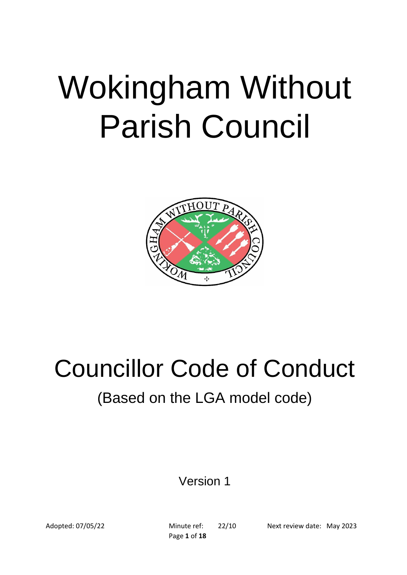# Wokingham Without Parish Council



## Councillor Code of Conduct

### (Based on the LGA model code)

Version 1

Page **1** of **18**

Adopted: 07/05/22 Minute ref: 22/10 Next review date: May 2023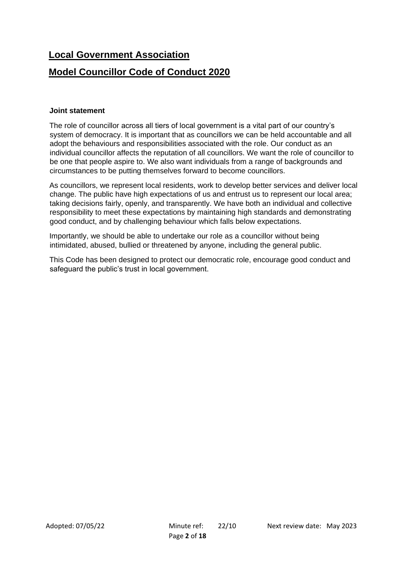#### **Local Government Association**

#### **Model Councillor Code of Conduct 2020**

#### **Joint statement**

The role of councillor across all tiers of local government is a vital part of our country's system of democracy. It is important that as councillors we can be held accountable and all adopt the behaviours and responsibilities associated with the role. Our conduct as an individual councillor affects the reputation of all councillors. We want the role of councillor to be one that people aspire to. We also want individuals from a range of backgrounds and circumstances to be putting themselves forward to become councillors.

As councillors, we represent local residents, work to develop better services and deliver local change. The public have high expectations of us and entrust us to represent our local area; taking decisions fairly, openly, and transparently. We have both an individual and collective responsibility to meet these expectations by maintaining high standards and demonstrating good conduct, and by challenging behaviour which falls below expectations.

Importantly, we should be able to undertake our role as a councillor without being intimidated, abused, bullied or threatened by anyone, including the general public.

This Code has been designed to protect our democratic role, encourage good conduct and safeguard the public's trust in local government.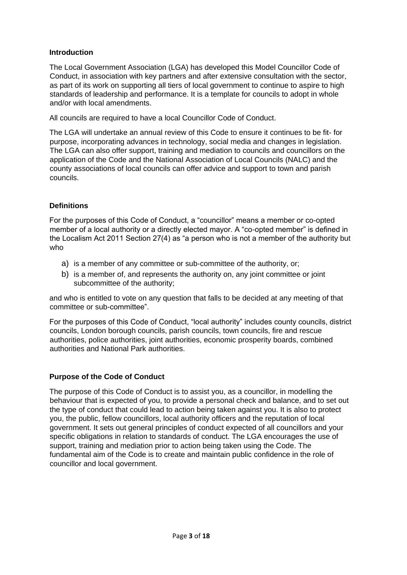#### **Introduction**

The Local Government Association (LGA) has developed this Model Councillor Code of Conduct, in association with key partners and after extensive consultation with the sector, as part of its work on supporting all tiers of local government to continue to aspire to high standards of leadership and performance. It is a template for councils to adopt in whole and/or with local amendments.

All councils are required to have a local Councillor Code of Conduct.

The LGA will undertake an annual review of this Code to ensure it continues to be fit- for purpose, incorporating advances in technology, social media and changes in legislation. The LGA can also offer support, training and mediation to councils and councillors on the application of the Code and the National Association of Local Councils (NALC) and the county associations of local councils can offer advice and support to town and parish councils.

#### **Definitions**

For the purposes of this Code of Conduct, a "councillor" means a member or co-opted member of a local authority or a directly elected mayor. A "co-opted member" is defined in the Localism Act 2011 Section 27(4) as "a person who is not a member of the authority but who

- a) is a member of any committee or sub-committee of the authority, or;
- b) is a member of, and represents the authority on, any joint committee or joint subcommittee of the authority;

and who is entitled to vote on any question that falls to be decided at any meeting of that committee or sub-committee".

For the purposes of this Code of Conduct, "local authority" includes county councils, district councils, London borough councils, parish councils, town councils, fire and rescue authorities, police authorities, joint authorities, economic prosperity boards, combined authorities and National Park authorities.

#### **Purpose of the Code of Conduct**

The purpose of this Code of Conduct is to assist you, as a councillor, in modelling the behaviour that is expected of you, to provide a personal check and balance, and to set out the type of conduct that could lead to action being taken against you. It is also to protect you, the public, fellow councillors, local authority officers and the reputation of local government. It sets out general principles of conduct expected of all councillors and your specific obligations in relation to standards of conduct. The LGA encourages the use of support, training and mediation prior to action being taken using the Code. The fundamental aim of the Code is to create and maintain public confidence in the role of councillor and local government.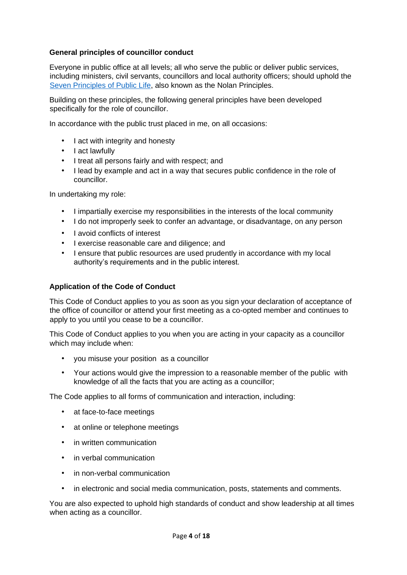#### **General principles of councillor conduct**

Everyone in public office at all levels; all who serve the public or deliver public services, including ministers, civil servants, councillors and local authority officers; should uphold the [Seven](https://www.gov.uk/government/publications/the-7-principles-of-public-life/the-7-principles-of-public-life--2) [Principles](https://www.gov.uk/government/publications/the-7-principles-of-public-life/the-7-principles-of-public-life--2) [of](https://www.gov.uk/government/publications/the-7-principles-of-public-life/the-7-principles-of-public-life--2) [Public](https://www.gov.uk/government/publications/the-7-principles-of-public-life/the-7-principles-of-public-life--2) [Life,](https://www.gov.uk/government/publications/the-7-principles-of-public-life/the-7-principles-of-public-life--2) also known as the Nolan Principles.

Building on these principles, the following general principles have been developed specifically for the role of councillor.

In accordance with the public trust placed in me, on all occasions:

- I act with integrity and honesty
- I act lawfully
- I treat all persons fairly and with respect; and
- I lead by example and act in a way that secures public confidence in the role of councillor.

In undertaking my role:

- I impartially exercise my responsibilities in the interests of the local community
- I do not improperly seek to confer an advantage, or disadvantage, on any person
- I avoid conflicts of interest
- I exercise reasonable care and diligence; and
- I ensure that public resources are used prudently in accordance with my local authority's requirements and in the public interest.

#### **Application of the Code of Conduct**

This Code of Conduct applies to you as soon as you sign your declaration of acceptance of the office of councillor or attend your first meeting as a co-opted member and continues to apply to you until you cease to be a councillor.

This Code of Conduct applies to you when you are acting in your capacity as a councillor which may include when:

- you misuse your position as a councillor
- Your actions would give the impression to a reasonable member of the public with knowledge of all the facts that you are acting as a councillor;

The Code applies to all forms of communication and interaction, including:

- at face-to-face meetings
- at online or telephone meetings
- in written communication
- in verbal communication
- in non-verbal communication
- in electronic and social media communication, posts, statements and comments.

You are also expected to uphold high standards of conduct and show leadership at all times when acting as a councillor.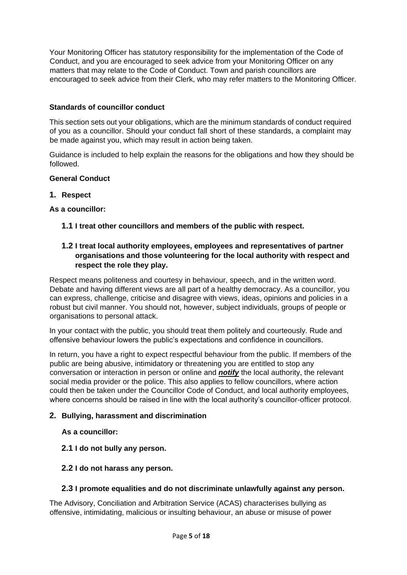Your Monitoring Officer has statutory responsibility for the implementation of the Code of Conduct, and you are encouraged to seek advice from your Monitoring Officer on any matters that may relate to the Code of Conduct. Town and parish councillors are encouraged to seek advice from their Clerk, who may refer matters to the Monitoring Officer.

#### **Standards of councillor conduct**

This section sets out your obligations, which are the minimum standards of conduct required of you as a councillor. Should your conduct fall short of these standards, a complaint may be made against you, which may result in action being taken.

Guidance is included to help explain the reasons for the obligations and how they should be followed.

#### **General Conduct**

#### **1. Respect**

#### **As a councillor:**

**1.1 I treat other councillors and members of the public with respect.**

#### **1.2 I treat local authority employees, employees and representatives of partner organisations and those volunteering for the local authority with respect and respect the role they play.**

Respect means politeness and courtesy in behaviour, speech, and in the written word. Debate and having different views are all part of a healthy democracy. As a councillor, you can express, challenge, criticise and disagree with views, ideas, opinions and policies in a robust but civil manner. You should not, however, subject individuals, groups of people or organisations to personal attack.

In your contact with the public, you should treat them politely and courteously. Rude and offensive behaviour lowers the public's expectations and confidence in councillors.

In return, you have a right to expect respectful behaviour from the public. If members of the public are being abusive, intimidatory or threatening you are entitled to stop any conversation or interaction in person or online and *notify* the local authority, the relevant social media provider or the police. This also applies to fellow councillors, where action could then be taken under the Councillor Code of Conduct, and local authority employees, where concerns should be raised in line with the local authority's councillor-officer protocol.

#### **2. Bullying, harassment and discrimination**

#### **As a councillor:**

**2.1 I do not bully any person.**

#### **2.2 I do not harass any person.**

#### **2.3 I promote equalities and do not discriminate unlawfully against any person.**

The Advisory, Conciliation and Arbitration Service (ACAS) characterises bullying as offensive, intimidating, malicious or insulting behaviour, an abuse or misuse of power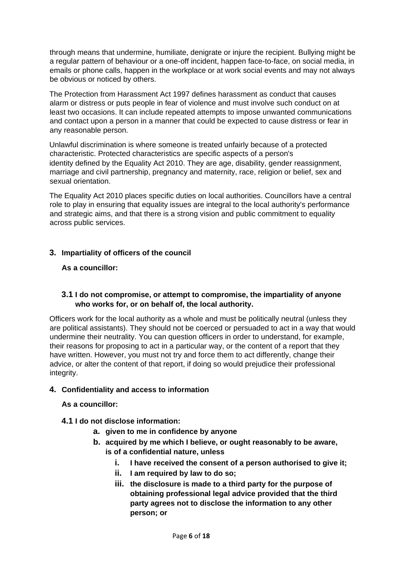through means that undermine, humiliate, denigrate or injure the recipient. Bullying might be a regular pattern of behaviour or a one-off incident, happen face-to-face, on social media, in emails or phone calls, happen in the workplace or at work social events and may not always be obvious or noticed by others.

The Protection from Harassment Act 1997 defines harassment as conduct that causes alarm or distress or puts people in fear of violence and must involve such conduct on at least two occasions. It can include repeated attempts to impose unwanted communications and contact upon a person in a manner that could be expected to cause distress or fear in any reasonable person.

Unlawful discrimination is where someone is treated unfairly because of a protected characteristic. Protected characteristics are specific aspects of a person's identity defined by the Equality Act 2010. They are age, disability, gender reassignment, marriage and civil partnership, pregnancy and maternity, race, religion or belief, sex and sexual orientation.

The Equality Act 2010 places specific duties on local authorities. Councillors have a central role to play in ensuring that equality issues are integral to the local authority's performance and strategic aims, and that there is a strong vision and public commitment to equality across public services.

#### **3. Impartiality of officers of the council**

#### **As a councillor:**

#### **3.1 I do not compromise, or attempt to compromise, the impartiality of anyone who works for, or on behalf of, the local authority.**

Officers work for the local authority as a whole and must be politically neutral (unless they are political assistants). They should not be coerced or persuaded to act in a way that would undermine their neutrality. You can question officers in order to understand, for example, their reasons for proposing to act in a particular way, or the content of a report that they have written. However, you must not try and force them to act differently, change their advice, or alter the content of that report, if doing so would prejudice their professional integrity.

#### **4. Confidentiality and access to information**

#### **As a councillor:**

- **4.1 I do not disclose information:**
	- **a. given to me in confidence by anyone**
	- **b. acquired by me which I believe, or ought reasonably to be aware, is of a confidential nature, unless**
		- **i. I have received the consent of a person authorised to give it;**
		- **ii. I am required by law to do so;**
		- **iii. the disclosure is made to a third party for the purpose of obtaining professional legal advice provided that the third party agrees not to disclose the information to any other person; or**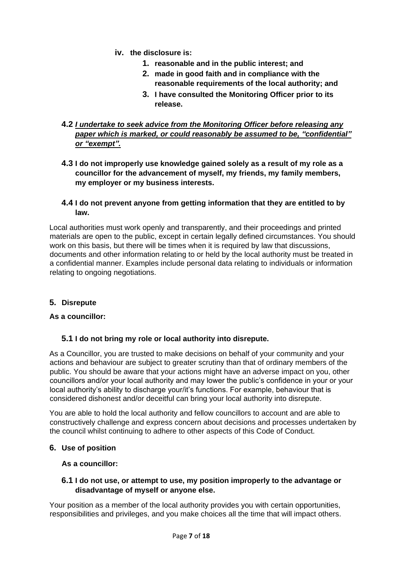- **iv. the disclosure is:**
	- **1. reasonable and in the public interest; and**
	- **2. made in good faith and in compliance with the reasonable requirements of the local authority; and**
	- **3. I have consulted the Monitoring Officer prior to its release.**

#### **4.2** *I undertake to seek advice from the Monitoring Officer before releasing any paper which is marked, or could reasonably be assumed to be, "confidential" or "exempt".*

- **4.3 I do not improperly use knowledge gained solely as a result of my role as a councillor for the advancement of myself, my friends, my family members, my employer or my business interests.**
- **4.4 I do not prevent anyone from getting information that they are entitled to by law.**

Local authorities must work openly and transparently, and their proceedings and printed materials are open to the public, except in certain legally defined circumstances. You should work on this basis, but there will be times when it is required by law that discussions, documents and other information relating to or held by the local authority must be treated in a confidential manner. Examples include personal data relating to individuals or information relating to ongoing negotiations.

#### **5. Disrepute**

#### **As a councillor:**

#### **5.1 I do not bring my role or local authority into disrepute.**

As a Councillor, you are trusted to make decisions on behalf of your community and your actions and behaviour are subject to greater scrutiny than that of ordinary members of the public. You should be aware that your actions might have an adverse impact on you, other councillors and/or your local authority and may lower the public's confidence in your or your local authority's ability to discharge your/it's functions. For example, behaviour that is considered dishonest and/or deceitful can bring your local authority into disrepute.

You are able to hold the local authority and fellow councillors to account and are able to constructively challenge and express concern about decisions and processes undertaken by the council whilst continuing to adhere to other aspects of this Code of Conduct.

#### **6. Use of position**

#### **As a councillor:**

#### **6.1 I do not use, or attempt to use, my position improperly to the advantage or disadvantage of myself or anyone else.**

Your position as a member of the local authority provides you with certain opportunities, responsibilities and privileges, and you make choices all the time that will impact others.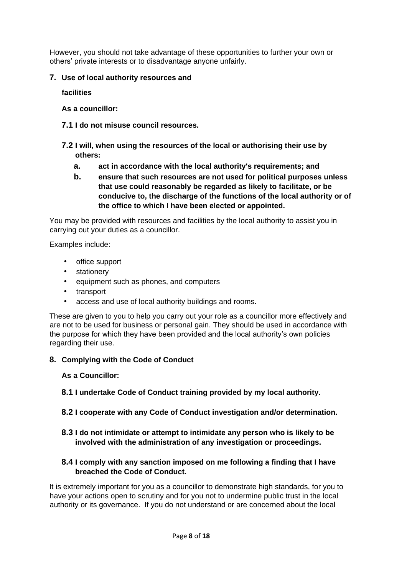However, you should not take advantage of these opportunities to further your own or others' private interests or to disadvantage anyone unfairly.

#### **7. Use of local authority resources and**

**facilities**

**As a councillor:**

- **7.1 I do not misuse council resources.**
- **7.2 I will, when using the resources of the local or authorising their use by others:**
	- **a. act in accordance with the local authority's requirements; and**
	- **b. ensure that such resources are not used for political purposes unless that use could reasonably be regarded as likely to facilitate, or be conducive to, the discharge of the functions of the local authority or of the office to which I have been elected or appointed.**

You may be provided with resources and facilities by the local authority to assist you in carrying out your duties as a councillor.

Examples include:

- office support
- **stationery**
- equipment such as phones, and computers
- transport
- access and use of local authority buildings and rooms.

These are given to you to help you carry out your role as a councillor more effectively and are not to be used for business or personal gain. They should be used in accordance with the purpose for which they have been provided and the local authority's own policies regarding their use.

#### **8. Complying with the Code of Conduct**

#### **As a Councillor:**

- **8.1 I undertake Code of Conduct training provided by my local authority.**
- **8.2 I cooperate with any Code of Conduct investigation and/or determination.**
- **8.3 I do not intimidate or attempt to intimidate any person who is likely to be involved with the administration of any investigation or proceedings.**

#### **8.4 I comply with any sanction imposed on me following a finding that I have breached the Code of Conduct.**

It is extremely important for you as a councillor to demonstrate high standards, for you to have your actions open to scrutiny and for you not to undermine public trust in the local authority or its governance. If you do not understand or are concerned about the local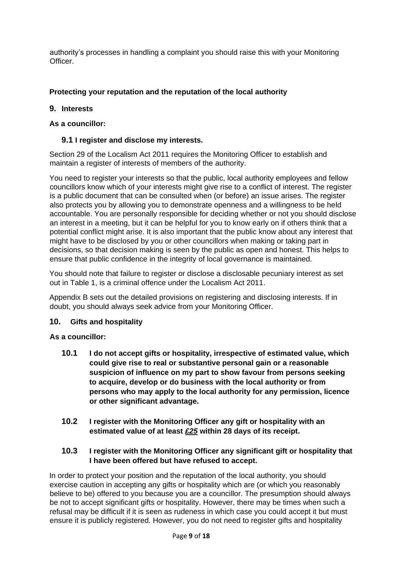authority's processes in handling a complaint you should raise this with your Monitoring Officer.

#### **Protecting your reputation and the reputation of the local authority**

#### **9. Interests**

#### **As a councillor:**

#### **9.1 I register and disclose my interests.**

Section 29 of the Localism Act 2011 requires the Monitoring Officer to establish and maintain a register of interests of members of the authority.

You need to register your interests so that the public, local authority employees and fellow councillors know which of your interests might give rise to a conflict of interest. The register is a public document that can be consulted when (or before) an issue arises. The register also protects you by allowing you to demonstrate openness and a willingness to be held accountable. You are personally responsible for deciding whether or not you should disclose an interest in a meeting, but it can be helpful for you to know early on if others think that a potential conflict might arise. It is also important that the public know about any interest that might have to be disclosed by you or other councillors when making or taking part in decisions, so that decision making is seen by the public as open and honest. This helps to ensure that public confidence in the integrity of local governance is maintained.

You should note that failure to register or disclose a disclosable pecuniary interest as set out in Table 1, is a criminal offence under the Localism Act 2011.

Appendix B sets out the detailed provisions on registering and disclosing interests. If in doubt, you should always seek advice from your Monitoring Officer.

#### **10. Gifts and hospitality**

#### **As a councillor:**

- **10.1 I do not accept gifts or hospitality, irrespective of estimated value, which could give rise to real or substantive personal gain or a reasonable suspicion of influence on my part to show favour from persons seeking to acquire, develop or do business with the local authority or from persons who may apply to the local authority for any permission, licence or other significant advantage.**
- **10.2 I register with the Monitoring Officer any gift or hospitality with an estimated value of at least** *£25* **within 28 days of its receipt.**

#### **10.3 I register with the Monitoring Officer any significant gift or hospitality that I have been offered but have refused to accept.**

In order to protect your position and the reputation of the local authority, you should exercise caution in accepting any gifts or hospitality which are (or which you reasonably believe to be) offered to you because you are a councillor. The presumption should always be not to accept significant gifts or hospitality. However, there may be times when such a refusal may be difficult if it is seen as rudeness in which case you could accept it but must ensure it is publicly registered. However, you do not need to register gifts and hospitality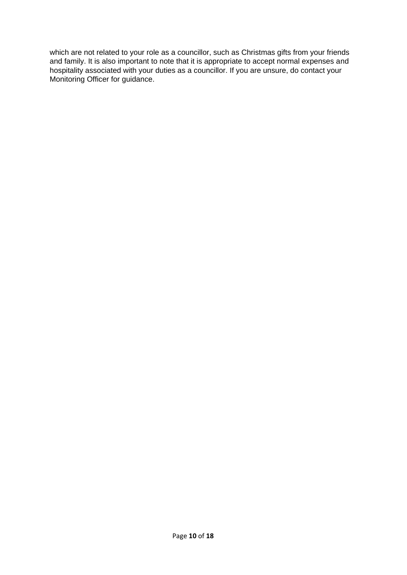which are not related to your role as a councillor, such as Christmas gifts from your friends and family. It is also important to note that it is appropriate to accept normal expenses and hospitality associated with your duties as a councillor. If you are unsure, do contact your Monitoring Officer for guidance.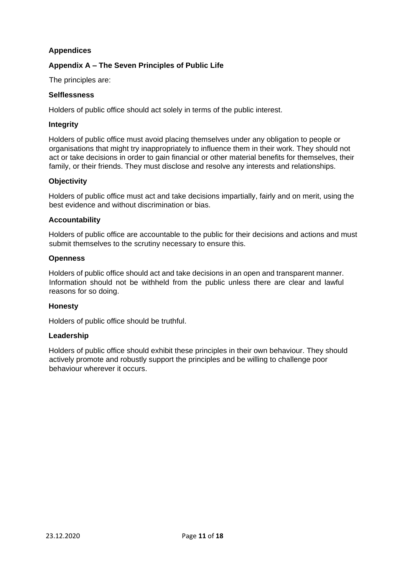#### **Appendices**

#### **Appendix A – The Seven Principles of Public Life**

The principles are:

#### **Selflessness**

Holders of public office should act solely in terms of the public interest.

#### **Integrity**

Holders of public office must avoid placing themselves under any obligation to people or organisations that might try inappropriately to influence them in their work. They should not act or take decisions in order to gain financial or other material benefits for themselves, their family, or their friends. They must disclose and resolve any interests and relationships.

#### **Objectivity**

Holders of public office must act and take decisions impartially, fairly and on merit, using the best evidence and without discrimination or bias.

#### **Accountability**

Holders of public office are accountable to the public for their decisions and actions and must submit themselves to the scrutiny necessary to ensure this.

#### **Openness**

Holders of public office should act and take decisions in an open and transparent manner. Information should not be withheld from the public unless there are clear and lawful reasons for so doing.

#### **Honesty**

Holders of public office should be truthful.

#### **Leadership**

Holders of public office should exhibit these principles in their own behaviour. They should actively promote and robustly support the principles and be willing to challenge poor behaviour wherever it occurs.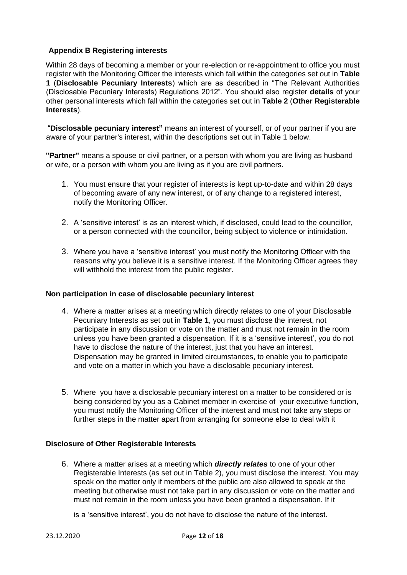#### **Appendix B Registering interests**

Within 28 days of becoming a member or your re-election or re-appointment to office you must register with the Monitoring Officer the interests which fall within the categories set out in **Table 1** (**Disclosable Pecuniary Interests**) which are as described in "The Relevant Authorities (Disclosable Pecuniary Interests) Regulations 2012". You should also register **details** of your other personal interests which fall within the categories set out in **Table 2** (**Other Registerable Interests**).

"**Disclosable pecuniary interest"** means an interest of yourself, or of your partner if you are aware of your partner's interest, within the descriptions set out in Table 1 below.

**"Partner"** means a spouse or civil partner, or a person with whom you are living as husband or wife, or a person with whom you are living as if you are civil partners.

- 1. You must ensure that your register of interests is kept up-to-date and within 28 days of becoming aware of any new interest, or of any change to a registered interest, notify the Monitoring Officer.
- 2. A 'sensitive interest' is as an interest which, if disclosed, could lead to the councillor, or a person connected with the councillor, being subject to violence or intimidation.
- 3. Where you have a 'sensitive interest' you must notify the Monitoring Officer with the reasons why you believe it is a sensitive interest. If the Monitoring Officer agrees they will withhold the interest from the public register.

#### **Non participation in case of disclosable pecuniary interest**

- 4. Where a matter arises at a meeting which directly relates to one of your Disclosable Pecuniary Interests as set out in **Table 1**, you must disclose the interest, not participate in any discussion or vote on the matter and must not remain in the room unless you have been granted a dispensation. If it is a 'sensitive interest', you do not have to disclose the nature of the interest, just that you have an interest. Dispensation may be granted in limited circumstances, to enable you to participate and vote on a matter in which you have a disclosable pecuniary interest.
- 5. Where you have a disclosable pecuniary interest on a matter to be considered or is being considered by you as a Cabinet member in exercise of your executive function, you must notify the Monitoring Officer of the interest and must not take any steps or further steps in the matter apart from arranging for someone else to deal with it

#### **Disclosure of Other Registerable Interests**

6. Where a matter arises at a meeting which *directly relates* to one of your other Registerable Interests (as set out in Table 2), you must disclose the interest. You may speak on the matter only if members of the public are also allowed to speak at the meeting but otherwise must not take part in any discussion or vote on the matter and must not remain in the room unless you have been granted a dispensation. If it

is a 'sensitive interest', you do not have to disclose the nature of the interest.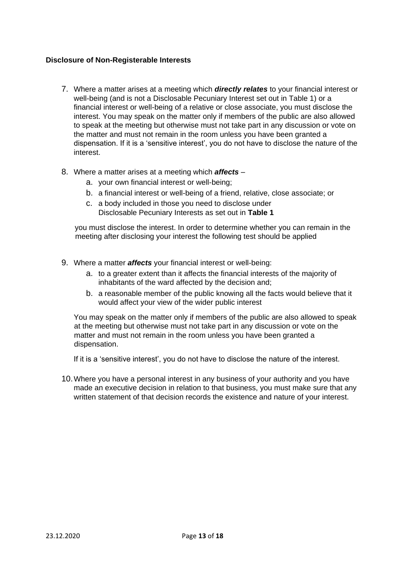#### **Disclosure of Non-Registerable Interests**

- 7. Where a matter arises at a meeting which *directly relates* to your financial interest or well-being (and is not a Disclosable Pecuniary Interest set out in Table 1) or a financial interest or well-being of a relative or close associate, you must disclose the interest. You may speak on the matter only if members of the public are also allowed to speak at the meeting but otherwise must not take part in any discussion or vote on the matter and must not remain in the room unless you have been granted a dispensation. If it is a 'sensitive interest', you do not have to disclose the nature of the interest.
- 8. Where a matter arises at a meeting which *affects*
	- a. your own financial interest or well-being;
	- b. a financial interest or well-being of a friend, relative, close associate; or
	- c. a body included in those you need to disclose under Disclosable Pecuniary Interests as set out in **Table 1**

you must disclose the interest. In order to determine whether you can remain in the meeting after disclosing your interest the following test should be applied

- 9. Where a matter *affects* your financial interest or well-being:
	- a. to a greater extent than it affects the financial interests of the majority of inhabitants of the ward affected by the decision and;
	- b. a reasonable member of the public knowing all the facts would believe that it would affect your view of the wider public interest

You may speak on the matter only if members of the public are also allowed to speak at the meeting but otherwise must not take part in any discussion or vote on the matter and must not remain in the room unless you have been granted a dispensation.

If it is a 'sensitive interest', you do not have to disclose the nature of the interest.

10.Where you have a personal interest in any business of your authority and you have made an executive decision in relation to that business, you must make sure that any written statement of that decision records the existence and nature of your interest.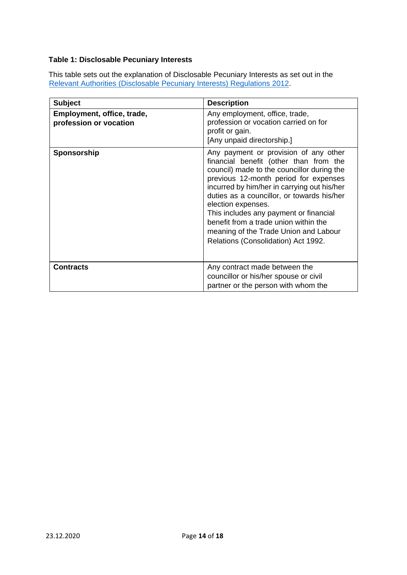#### **Table 1: Disclosable Pecuniary Interests**

This table sets out the explanation of Disclosable Pecuniary Interests as set out in the [Relevant](https://www.legislation.gov.uk/uksi/2012/1464/made) [Authorities](https://www.legislation.gov.uk/uksi/2012/1464/made) [\(Disclosable](https://www.legislation.gov.uk/uksi/2012/1464/made) [Pecuniary](https://www.legislation.gov.uk/uksi/2012/1464/made) [Interests\) Regulations](https://www.legislation.gov.uk/uksi/2012/1464/made) [2012.](https://www.legislation.gov.uk/uksi/2012/1464/made)

| <b>Subject</b>                                       | <b>Description</b>                                                                                                                                                                                                                                                                                                                                                                                                                                           |
|------------------------------------------------------|--------------------------------------------------------------------------------------------------------------------------------------------------------------------------------------------------------------------------------------------------------------------------------------------------------------------------------------------------------------------------------------------------------------------------------------------------------------|
| Employment, office, trade,<br>profession or vocation | Any employment, office, trade,<br>profession or vocation carried on for<br>profit or gain.<br>[Any unpaid directorship.]                                                                                                                                                                                                                                                                                                                                     |
| Sponsorship                                          | Any payment or provision of any other<br>financial benefit (other than from the<br>council) made to the councillor during the<br>previous 12-month period for expenses<br>incurred by him/her in carrying out his/her<br>duties as a councillor, or towards his/her<br>election expenses.<br>This includes any payment or financial<br>benefit from a trade union within the<br>meaning of the Trade Union and Labour<br>Relations (Consolidation) Act 1992. |
| <b>Contracts</b>                                     | Any contract made between the<br>councillor or his/her spouse or civil<br>partner or the person with whom the                                                                                                                                                                                                                                                                                                                                                |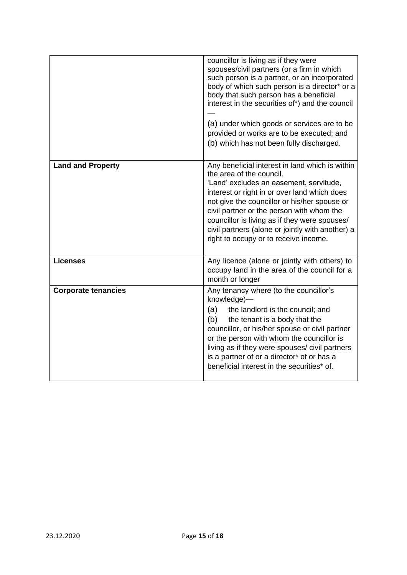|                            | councillor is living as if they were<br>spouses/civil partners (or a firm in which<br>such person is a partner, or an incorporated<br>body of which such person is a director* or a<br>body that such person has a beneficial<br>interest in the securities of*) and the council<br>(a) under which goods or services are to be<br>provided or works are to be executed; and<br>(b) which has not been fully discharged. |
|----------------------------|--------------------------------------------------------------------------------------------------------------------------------------------------------------------------------------------------------------------------------------------------------------------------------------------------------------------------------------------------------------------------------------------------------------------------|
| <b>Land and Property</b>   | Any beneficial interest in land which is within<br>the area of the council.<br>'Land' excludes an easement, servitude,<br>interest or right in or over land which does<br>not give the councillor or his/her spouse or<br>civil partner or the person with whom the<br>councillor is living as if they were spouses/<br>civil partners (alone or jointly with another) a<br>right to occupy or to receive income.        |
| <b>Licenses</b>            | Any licence (alone or jointly with others) to<br>occupy land in the area of the council for a<br>month or longer                                                                                                                                                                                                                                                                                                         |
| <b>Corporate tenancies</b> | Any tenancy where (to the councillor's<br>knowledge)-<br>(a)<br>the landlord is the council; and<br>(b)<br>the tenant is a body that the<br>councillor, or his/her spouse or civil partner<br>or the person with whom the councillor is<br>living as if they were spouses/ civil partners<br>is a partner of or a director* of or has a<br>beneficial interest in the securities* of.                                    |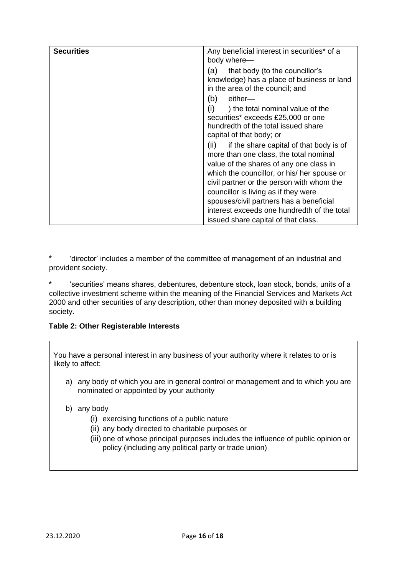| <b>Securities</b> | Any beneficial interest in securities* of a     |
|-------------------|-------------------------------------------------|
|                   | body where-                                     |
|                   |                                                 |
|                   | that body (to the councillor's<br>(a)           |
|                   | knowledge) has a place of business or land      |
|                   | in the area of the council; and                 |
|                   | either-<br>(b)                                  |
|                   | (i)<br>) the total nominal value of the         |
|                   | securities* exceeds £25,000 or one              |
|                   | hundredth of the total issued share             |
|                   |                                                 |
|                   | capital of that body; or                        |
|                   | (ii)<br>if the share capital of that body is of |
|                   | more than one class, the total nominal          |
|                   | value of the shares of any one class in         |
|                   | which the councillor, or his/ her spouse or     |
|                   | civil partner or the person with whom the       |
|                   |                                                 |
|                   | councillor is living as if they were            |
|                   | spouses/civil partners has a beneficial         |
|                   | interest exceeds one hundredth of the total     |
|                   | issued share capital of that class.             |

\* 'director' includes a member of the committee of management of an industrial and provident society.

\* 'securities' means shares, debentures, debenture stock, loan stock, bonds, units of a collective investment scheme within the meaning of the Financial Services and Markets Act 2000 and other securities of any description, other than money deposited with a building society.

#### **Table 2: Other Registerable Interests**

You have a personal interest in any business of your authority where it relates to or is likely to affect:

- a) any body of which you are in general control or management and to which you are nominated or appointed by your authority
- b) any body
	- (i) exercising functions of a public nature
	- (ii) any body directed to charitable purposes or
	- (iii) one of whose principal purposes includes the influence of public opinion or policy (including any political party or trade union)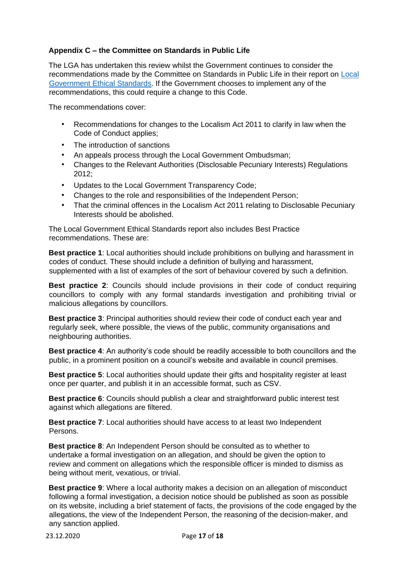#### **Appendix C – the Committee on Standards in Public Life**

The LGA has undertaken this review whilst the Government continues to consider the recommendations made by the Committee on Standards in Public Life in their report on [Local](https://www.gov.uk/government/publications/local-government-ethical-standards-report) [Government](https://www.gov.uk/government/publications/local-government-ethical-standards-report) [Ethical](https://www.gov.uk/government/publications/local-government-ethical-standards-report) [Standards.](https://www.gov.uk/government/publications/local-government-ethical-standards-report) If the Government chooses to implement any of the recommendations, this could require a change to this Code.

The recommendations cover:

- Recommendations for changes to the Localism Act 2011 to clarify in law when the Code of Conduct applies;
- The introduction of sanctions
- An appeals process through the Local Government Ombudsman;
- Changes to the Relevant Authorities (Disclosable Pecuniary Interests) Regulations 2012;
- Updates to the Local Government Transparency Code;
- Changes to the role and responsibilities of the Independent Person;
- That the criminal offences in the Localism Act 2011 relating to Disclosable Pecuniary Interests should be abolished.

The Local Government Ethical Standards report also includes Best Practice recommendations. These are:

**Best practice 1**: Local authorities should include prohibitions on bullying and harassment in codes of conduct. These should include a definition of bullying and harassment, supplemented with a list of examples of the sort of behaviour covered by such a definition.

**Best practice 2**: Councils should include provisions in their code of conduct requiring councillors to comply with any formal standards investigation and prohibiting trivial or malicious allegations by councillors.

**Best practice 3**: Principal authorities should review their code of conduct each year and regularly seek, where possible, the views of the public, community organisations and neighbouring authorities.

**Best practice 4**: An authority's code should be readily accessible to both councillors and the public, in a prominent position on a council's website and available in council premises.

**Best practice 5**: Local authorities should update their gifts and hospitality register at least once per quarter, and publish it in an accessible format, such as CSV.

**Best practice 6**: Councils should publish a clear and straightforward public interest test against which allegations are filtered.

**Best practice 7**: Local authorities should have access to at least two Independent Persons.

**Best practice 8**: An Independent Person should be consulted as to whether to undertake a formal investigation on an allegation, and should be given the option to review and comment on allegations which the responsible officer is minded to dismiss as being without merit, vexatious, or trivial.

**Best practice 9**: Where a local authority makes a decision on an allegation of misconduct following a formal investigation, a decision notice should be published as soon as possible on its website, including a brief statement of facts, the provisions of the code engaged by the allegations, the view of the Independent Person, the reasoning of the decision-maker, and any sanction applied.